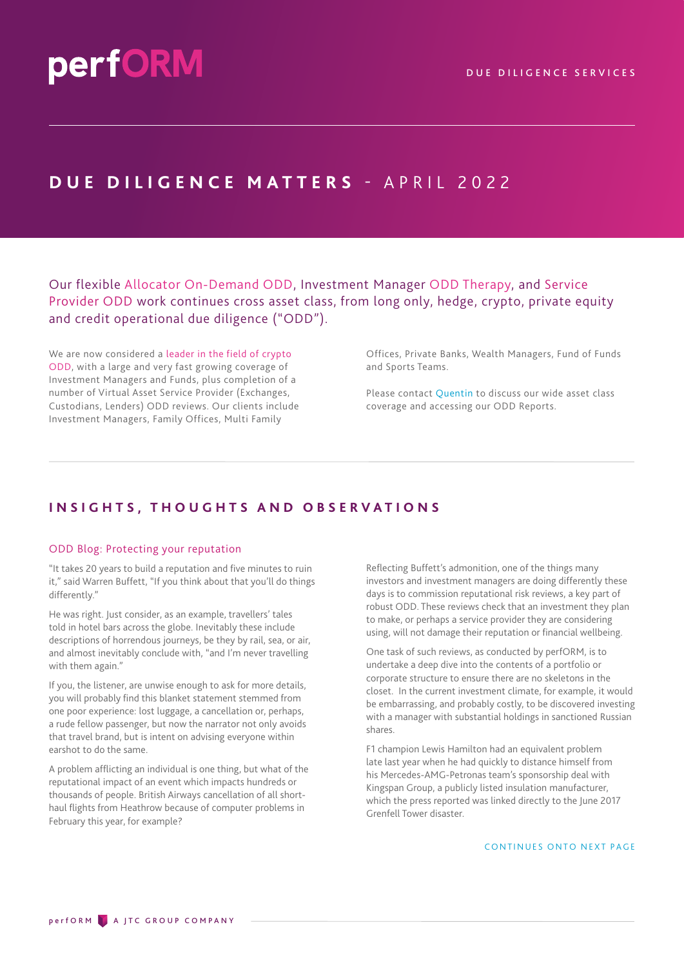## **DUE DILIGENCE MATTERS - APRIL 2022**

Our flexible Allocator On-Demand ODD, Investment Manager ODD Therapy, and Service Provider ODD work continues cross asset class, from long only, hedge, crypto, private equity and credit operational due diligence ("ODD").

We are now considered a leader in the field of crypto ODD, with a large and very fast growing coverage of Investment Managers and Funds, plus completion of a number of Virtual Asset Service Provider (Exchanges, Custodians, Lenders) ODD reviews. Our clients include Investment Managers, Family Offices, Multi Family

Offices, Private Banks, Wealth Managers, Fund of Funds and Sports Teams.

Please contact [Quentin](mailto:quentin.thom@performdd.com) to discuss our wide asset class coverage and accessing our ODD Reports.

### **INSIGHTS, THOUGHTS AND OBSERVATIONS**

#### ODD Blog: Protecting your reputation

"It takes 20 years to build a reputation and five minutes to ruin it," said Warren Buffett, "If you think about that you'll do things differently."

He was right. Just consider, as an example, travellers' tales told in hotel bars across the globe. Inevitably these include descriptions of horrendous journeys, be they by rail, sea, or air, and almost inevitably conclude with, "and I'm never travelling with them again."

If you, the listener, are unwise enough to ask for more details, you will probably find this blanket statement stemmed from one poor experience: lost luggage, a cancellation or, perhaps, a rude fellow passenger, but now the narrator not only avoids that travel brand, but is intent on advising everyone within earshot to do the same.

A problem afflicting an individual is one thing, but what of the reputational impact of an event which impacts hundreds or thousands of people. British Airways cancellation of all shorthaul flights from Heathrow because of computer problems in February this year, for example?

Reflecting Buffett's admonition, one of the things many investors and investment managers are doing differently these days is to commission reputational risk reviews, a key part of robust ODD. These reviews check that an investment they plan to make, or perhaps a service provider they are considering using, will not damage their reputation or financial wellbeing.

One task of such reviews, as conducted by perfORM, is to undertake a deep dive into the contents of a portfolio or corporate structure to ensure there are no skeletons in the closet. In the current investment climate, for example, it would be embarrassing, and probably costly, to be discovered investing with a manager with substantial holdings in sanctioned Russian shares.

F1 champion Lewis Hamilton had an equivalent problem late last year when he had quickly to distance himself from his Mercedes-AMG-Petronas team's sponsorship deal with Kingspan Group, a publicly listed insulation manufacturer, which the press reported was linked directly to the June 2017 Grenfell Tower disaster.

CONTINUES ONTO NEXT PAGE